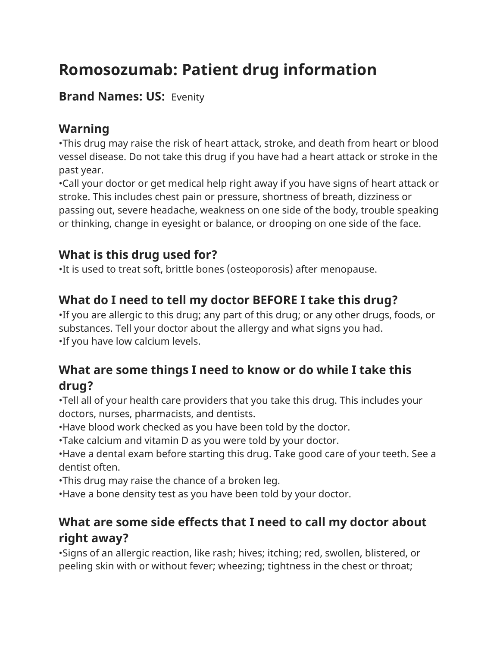# **Romosozumab: Patient drug information**

## **Brand Names: US:** Evenity

# **Warning**

•This drug may raise the risk of heart attack, stroke, and death from heart or blood vessel disease. Do not take this drug if you have had a heart attack or stroke in the past year.

•Call your doctor or get medical help right away if you have signs of heart attack or stroke. This includes chest pain or pressure, shortness of breath, dizziness or passing out, severe headache, weakness on one side of the body, trouble speaking or thinking, change in eyesight or balance, or drooping on one side of the face.

# **What is this drug used for?**

•It is used to treat soft, brittle bones (osteoporosis) after menopause.

# **What do I need to tell my doctor BEFORE I take this drug?**

•If you are allergic to this drug; any part of this drug; or any other drugs, foods, or substances. Tell your doctor about the allergy and what signs you had. •If you have low calcium levels.

## **What are some things I need to know or do while I take this drug?**

•Tell all of your health care providers that you take this drug. This includes your doctors, nurses, pharmacists, and dentists.

•Have blood work checked as you have been told by the doctor.

•Take calcium and vitamin D as you were told by your doctor.

•Have a dental exam before starting this drug. Take good care of your teeth. See a dentist often.

•This drug may raise the chance of a broken leg.

•Have a bone density test as you have been told by your doctor.

# **What are some side effects that I need to call my doctor about right away?**

•Signs of an allergic reaction, like rash; hives; itching; red, swollen, blistered, or peeling skin with or without fever; wheezing; tightness in the chest or throat;